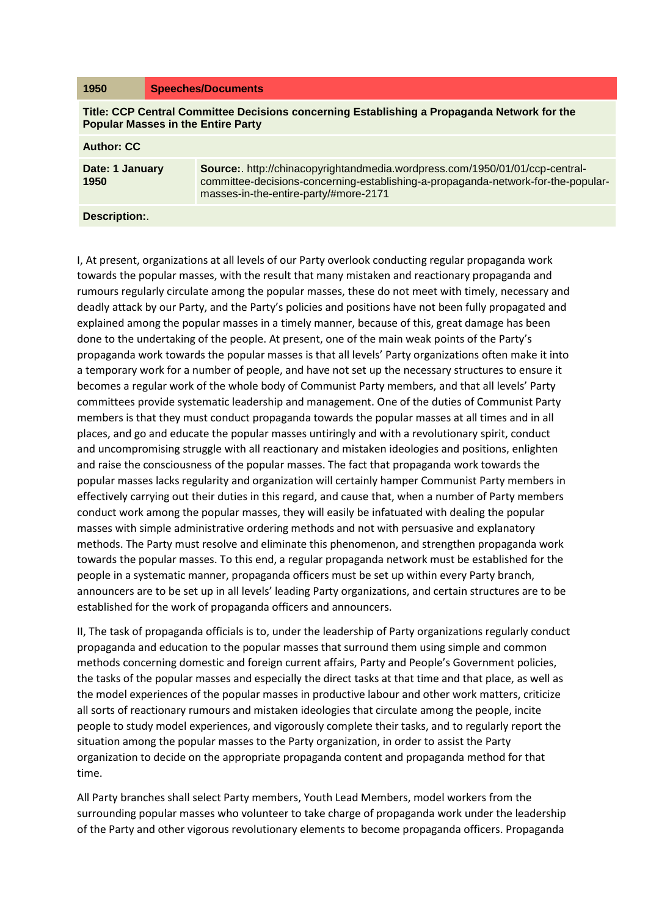| 1950                                                                                                                                     | <b>Speeches/Documents</b>                                                                                                                                                                                  |
|------------------------------------------------------------------------------------------------------------------------------------------|------------------------------------------------------------------------------------------------------------------------------------------------------------------------------------------------------------|
| Title: CCP Central Committee Decisions concerning Establishing a Propaganda Network for the<br><b>Popular Masses in the Entire Party</b> |                                                                                                                                                                                                            |
| <b>Author: CC</b>                                                                                                                        |                                                                                                                                                                                                            |
| Date: 1 January<br>1950                                                                                                                  | Source:. http://chinacopyrightandmedia.wordpress.com/1950/01/01/ccp-central-<br>committee-decisions-concerning-establishing-a-propaganda-network-for-the-popular-<br>masses-in-the-entire-party/#more-2171 |
| Description:                                                                                                                             |                                                                                                                                                                                                            |

I, At present, organizations at all levels of our Party overlook conducting regular propaganda work towards the popular masses, with the result that many mistaken and reactionary propaganda and rumours regularly circulate among the popular masses, these do not meet with timely, necessary and deadly attack by our Party, and the Party's policies and positions have not been fully propagated and explained among the popular masses in a timely manner, because of this, great damage has been done to the undertaking of the people. At present, one of the main weak points of the Party's propaganda work towards the popular masses is that all levels' Party organizations often make it into a temporary work for a number of people, and have not set up the necessary structures to ensure it becomes a regular work of the whole body of Communist Party members, and that all levels' Party committees provide systematic leadership and management. One of the duties of Communist Party members is that they must conduct propaganda towards the popular masses at all times and in all places, and go and educate the popular masses untiringly and with a revolutionary spirit, conduct and uncompromising struggle with all reactionary and mistaken ideologies and positions, enlighten and raise the consciousness of the popular masses. The fact that propaganda work towards the popular masses lacks regularity and organization will certainly hamper Communist Party members in effectively carrying out their duties in this regard, and cause that, when a number of Party members conduct work among the popular masses, they will easily be infatuated with dealing the popular masses with simple administrative ordering methods and not with persuasive and explanatory methods. The Party must resolve and eliminate this phenomenon, and strengthen propaganda work towards the popular masses. To this end, a regular propaganda network must be established for the people in a systematic manner, propaganda officers must be set up within every Party branch, announcers are to be set up in all levels' leading Party organizations, and certain structures are to be established for the work of propaganda officers and announcers.

II, The task of propaganda officials is to, under the leadership of Party organizations regularly conduct propaganda and education to the popular masses that surround them using simple and common methods concerning domestic and foreign current affairs, Party and People's Government policies, the tasks of the popular masses and especially the direct tasks at that time and that place, as well as the model experiences of the popular masses in productive labour and other work matters, criticize all sorts of reactionary rumours and mistaken ideologies that circulate among the people, incite people to study model experiences, and vigorously complete their tasks, and to regularly report the situation among the popular masses to the Party organization, in order to assist the Party organization to decide on the appropriate propaganda content and propaganda method for that time.

All Party branches shall select Party members, Youth Lead Members, model workers from the surrounding popular masses who volunteer to take charge of propaganda work under the leadership of the Party and other vigorous revolutionary elements to become propaganda officers. Propaganda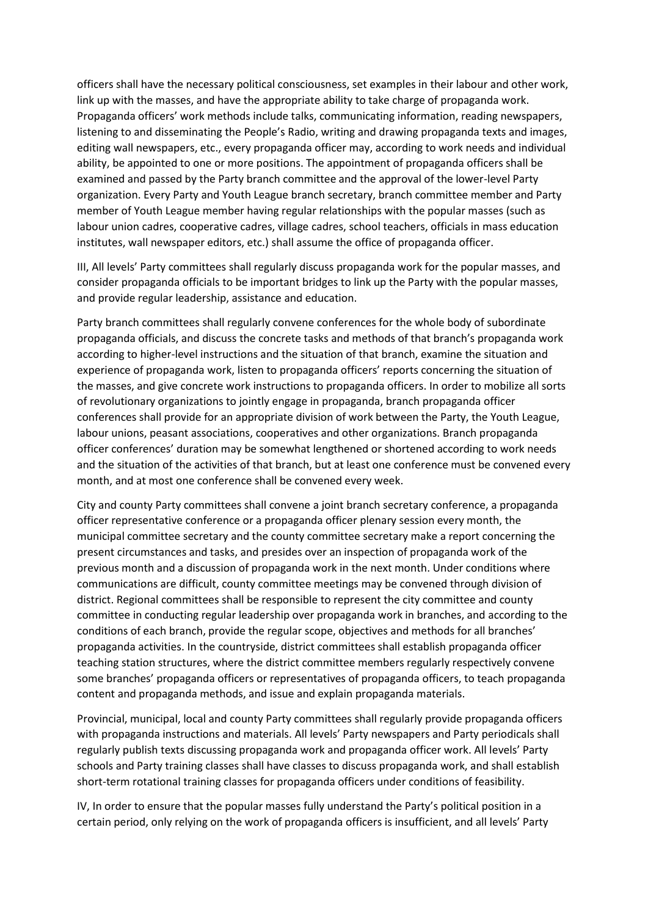officers shall have the necessary political consciousness, set examples in their labour and other work, link up with the masses, and have the appropriate ability to take charge of propaganda work. Propaganda officers' work methods include talks, communicating information, reading newspapers, listening to and disseminating the People's Radio, writing and drawing propaganda texts and images, editing wall newspapers, etc., every propaganda officer may, according to work needs and individual ability, be appointed to one or more positions. The appointment of propaganda officers shall be examined and passed by the Party branch committee and the approval of the lower-level Party organization. Every Party and Youth League branch secretary, branch committee member and Party member of Youth League member having regular relationships with the popular masses (such as labour union cadres, cooperative cadres, village cadres, school teachers, officials in mass education institutes, wall newspaper editors, etc.) shall assume the office of propaganda officer.

III, All levels' Party committees shall regularly discuss propaganda work for the popular masses, and consider propaganda officials to be important bridges to link up the Party with the popular masses, and provide regular leadership, assistance and education.

Party branch committees shall regularly convene conferences for the whole body of subordinate propaganda officials, and discuss the concrete tasks and methods of that branch's propaganda work according to higher-level instructions and the situation of that branch, examine the situation and experience of propaganda work, listen to propaganda officers' reports concerning the situation of the masses, and give concrete work instructions to propaganda officers. In order to mobilize all sorts of revolutionary organizations to jointly engage in propaganda, branch propaganda officer conferences shall provide for an appropriate division of work between the Party, the Youth League, labour unions, peasant associations, cooperatives and other organizations. Branch propaganda officer conferences' duration may be somewhat lengthened or shortened according to work needs and the situation of the activities of that branch, but at least one conference must be convened every month, and at most one conference shall be convened every week.

City and county Party committees shall convene a joint branch secretary conference, a propaganda officer representative conference or a propaganda officer plenary session every month, the municipal committee secretary and the county committee secretary make a report concerning the present circumstances and tasks, and presides over an inspection of propaganda work of the previous month and a discussion of propaganda work in the next month. Under conditions where communications are difficult, county committee meetings may be convened through division of district. Regional committees shall be responsible to represent the city committee and county committee in conducting regular leadership over propaganda work in branches, and according to the conditions of each branch, provide the regular scope, objectives and methods for all branches' propaganda activities. In the countryside, district committees shall establish propaganda officer teaching station structures, where the district committee members regularly respectively convene some branches' propaganda officers or representatives of propaganda officers, to teach propaganda content and propaganda methods, and issue and explain propaganda materials.

Provincial, municipal, local and county Party committees shall regularly provide propaganda officers with propaganda instructions and materials. All levels' Party newspapers and Party periodicals shall regularly publish texts discussing propaganda work and propaganda officer work. All levels' Party schools and Party training classes shall have classes to discuss propaganda work, and shall establish short-term rotational training classes for propaganda officers under conditions of feasibility.

IV, In order to ensure that the popular masses fully understand the Party's political position in a certain period, only relying on the work of propaganda officers is insufficient, and all levels' Party